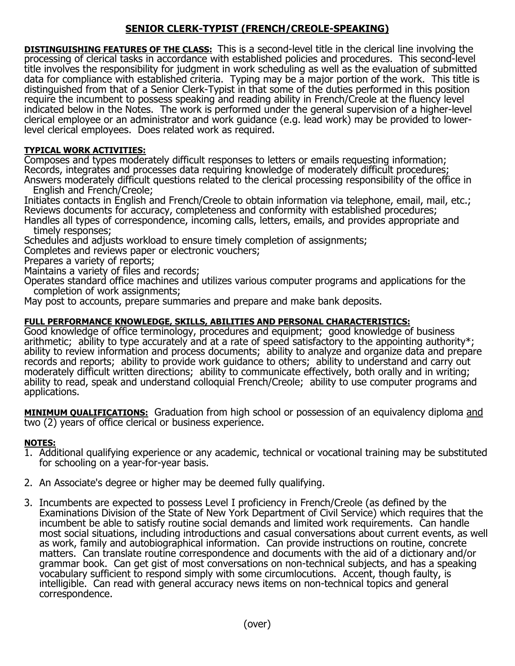## **SENIOR CLERK-TYPIST (FRENCH/CREOLE-SPEAKING)**

**DISTINGUISHING FEATURES OF THE CLASS:** This is a second-level title in the clerical line involving the processing of clerical tasks in accordance with established policies and procedures. This second-level title involves the responsibility for judgment in work scheduling as well as the evaluation of submitted data for compliance with established criteria. Typing may be a major portion of the work. This title is distinguished from that of a Senior Clerk-Typist in that some of the duties performed in this position require the incumbent to possess speaking and reading ability in French/Creole at the fluency level indicated below in the Notes. The work is performed under the general supervision of a higher-level clerical employee or an administrator and work guidance (e.g. lead work) may be provided to lowerlevel clerical employees. Does related work as required.

## **TYPICAL WORK ACTIVITIES:**

Composes and types moderately difficult responses to letters or emails requesting information; Records, integrates and processes data requiring knowledge of moderately difficult procedures; Answers moderately difficult questions related to the clerical processing responsibility of the office in

English and French/Creole;

Initiates contacts in English and French/Creole to obtain information via telephone, email, mail, etc.; Reviews documents for accuracy, completeness and conformity with established procedures; Handles all types of correspondence, incoming calls, letters, emails, and provides appropriate and

timely responses;

Schedules and adjusts workload to ensure timely completion of assignments;

Completes and reviews paper or electronic vouchers;

Prepares a variety of reports;

Maintains a variety of files and records;

Operates standard office machines and utilizes various computer programs and applications for the completion of work assignments;

May post to accounts, prepare summaries and prepare and make bank deposits.

## **FULL PERFORMANCE KNOWLEDGE, SKILLS, ABILITIES AND PERSONAL CHARACTERISTICS:**

Good knowledge of office terminology, procedures and equipment; good knowledge of business arithmetic; ability to type accurately and at a rate of speed satisfactory to the appointing authority\*; ability to review information and process documents; ability to analyze and organize data and prepare records and reports; ability to provide work guidance to others; ability to understand and carry out moderately difficult written directions; ability to communicate effectively, both orally and in writing; ability to read, speak and understand colloquial French/Creole; ability to use computer programs and applications.

**MINIMUM QUALIFICATIONS:** Graduation from high school or possession of an equivalency diploma and two (2) years of office clerical or business experience.

## **NOTES:**

- 1. Additional qualifying experience or any academic, technical or vocational training may be substituted for schooling on a year-for-year basis.
- 2. An Associate's degree or higher may be deemed fully qualifying.
- 3. Incumbents are expected to possess Level I proficiency in French/Creole (as defined by the Examinations Division of the State of New York Department of Civil Service) which requires that the incumbent be able to satisfy routine social demands and limited work requirements. Can handle most social situations, including introductions and casual conversations about current events, as well as work, family and autobiographical information. Can provide instructions on routine, concrete matters. Can translate routine correspondence and documents with the aid of a dictionary and/or grammar book. Can get gist of most conversations on non-technical subjects, and has a speaking vocabulary sufficient to respond simply with some circumlocutions. Accent, though faulty, is intelligible. Can read with general accuracy news items on non-technical topics and general correspondence.